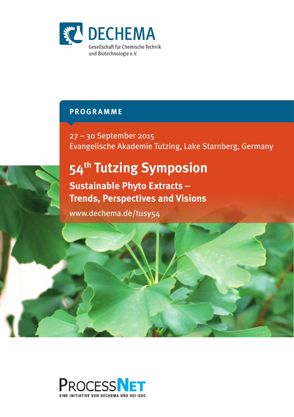

# **Programme**

27 – 30 September 2015 Evangelische Akademie Tutzing, Lake Starnberg, Germany

# **54th Tutzing Symposion**

**Sustainable Phyto Extracts – Trends, Perspectives and Visions**

www.dechema.de/tusy54



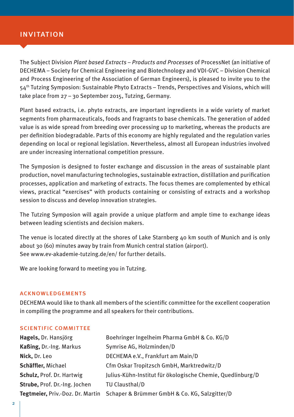## invitation

The Subject Division *Plant based Extracts – Products and Processes* of ProcessNet (an initiative of DECHEMA – Society for Chemical Engineering and Biotechnology and VDI·GVC – Division Chemical and Process Engineering of the Association of German Engineers), is pleased to invite you to the 54th Tutzing Symposion: Sustainable Phyto Extracts – Trends, Perspectives and Visions, which will take place from 27 – 30 September 2015, Tutzing, Germany.

Plant based extracts, i.e. phyto extracts, are important ingredients in a wide variety of market segments from pharmaceuticals, foods and fragrants to base chemicals. The generation of added value is as wide spread from breeding over processing up to marketing, whereas the products are per definition biodegradable. Parts of this economy are highly regulated and the regulation varies depending on local or regional legislation. Nevertheless, almost all European industries involved are under increasing international competition pressure.

The Symposion is designed to foster exchange and discussion in the areas of sustainable plant production, novel manufacturing technologies, sustainable extraction, distillation and purification processes, application and marketing of extracts. The focus themes are complemented by ethical views, practical "exercises" with products containing or consisting of extracts and a workshop session to discuss and develop innovation strategies.

The Tutzing Symposion will again provide a unique platform and ample time to exchange ideas between leading scientists and decision makers.

The venue is located directly at the shores of Lake Starnberg 40 km south of Munich and is only about 30 (60) minutes away by train from Munich central station (airport). See www.ev-akademie-tutzing.de/en/ for further details.

We are looking forward to meeting you in Tutzing.

#### acknowledgements

DECHEMA would like to thank all members of the scientific committee for the excellent cooperation in compiling the programme and all speakers for their contributions.

#### scientific committee

| Hagels, Dr. Hansjörg             | Boehringer Ingelheim Pharma GmbH & Co. KG/D                |
|----------------------------------|------------------------------------------------------------|
| Kaßing, Dr.-Ing. Markus          | Symrise AG, Holzminden/D                                   |
| Nick, Dr. Leo                    | DECHEMA e.V., Frankfurt am Main/D                          |
| Schäffler, Michael               | Cfm Oskar Tropitzsch GmbH, Marktredwitz/D                  |
| Schulz, Prof. Dr. Hartwig        | Julius-Kühn-Institut für ökologische Chemie, Quedlinburg/D |
| Strube, Prof. Dr.-Ing. Jochen    | TU Clausthal/D                                             |
| Tegtmeier, Priv.-Doz. Dr. Martin | Schaper & Brümmer GmbH & Co. KG, Salzgitter/D              |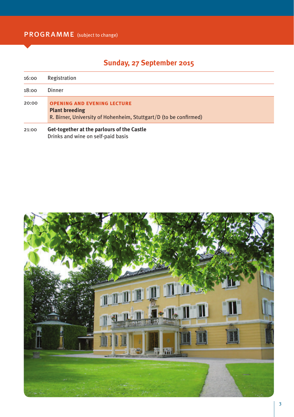# **Sunday, 27 September 2015**

| 16:00 | Registration                                                                                                                     |  |  |
|-------|----------------------------------------------------------------------------------------------------------------------------------|--|--|
| 18:00 | Dinner                                                                                                                           |  |  |
| 20:00 | <b>OPENING AND EVENING LECTURE</b><br><b>Plant breeding</b><br>R. Birner, University of Hohenheim, Stuttgart/D (to be confirmed) |  |  |
| 21:00 | Get-together at the parlours of the Castle<br>Drinks and wine on self-paid basis                                                 |  |  |

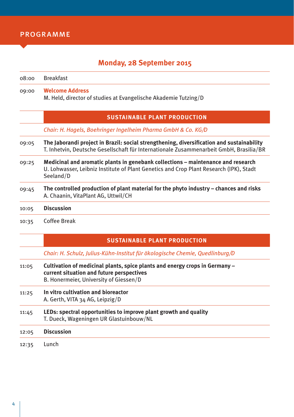# **Monday, 28 September 2015**

| 08:00 | <b>Breakfast</b>                                                                                                                                                                        |  |
|-------|-----------------------------------------------------------------------------------------------------------------------------------------------------------------------------------------|--|
| 09:00 | <b>Welcome Address</b><br>M. Held, director of studies at Evangelische Akademie Tutzing/D                                                                                               |  |
|       | <b>SUSTAINABLE PLANT PRODUCTION</b>                                                                                                                                                     |  |
|       | Chair: H. Hagels, Boehringer Ingelheim Pharma GmbH & Co. KG/D                                                                                                                           |  |
| 09:05 | The Jaborandi project in Brazil: social strengthening, diversification and sustainability<br>T. Inhetvin, Deutsche Gesellschaft für Internationale Zusammenarbeit GmbH, Brasilia/BR     |  |
| 09:25 | Medicinal and aromatic plants in genebank collections – maintenance and research<br>U. Lohwasser, Leibniz Institute of Plant Genetics and Crop Plant Research (IPK), Stadt<br>Seeland/D |  |
| 09:45 | The controlled production of plant material for the phyto industry – chances and risks<br>A. Chaanin, VitaPlant AG, Uttwil/CH                                                           |  |
| 10:05 | <b>Discussion</b>                                                                                                                                                                       |  |
| 10:35 | Coffee Break                                                                                                                                                                            |  |
|       |                                                                                                                                                                                         |  |

## **Sustainable Plant Production**

*Chair: H. Schulz, Julius-Kühn-Institut für ökologische Chemie, Quedlinburg/D*

| 11:05 | Cultivation of medicinal plants, spice plants and energy crops in Germany -<br>current situation and future perspectives<br>B. Honermeier, University of Giessen/D |  |  |
|-------|--------------------------------------------------------------------------------------------------------------------------------------------------------------------|--|--|
| 11:25 | In vitro cultivation and bioreactor<br>A. Gerth, VITA 34 AG, Leipzig/D                                                                                             |  |  |
| 11:45 | LEDs: spectral opportunities to improve plant growth and quality<br>T. Dueck, Wageningen UR Glastuinbouw/NL                                                        |  |  |
| 12:05 | <b>Discussion</b>                                                                                                                                                  |  |  |
|       |                                                                                                                                                                    |  |  |

12:35 Lunch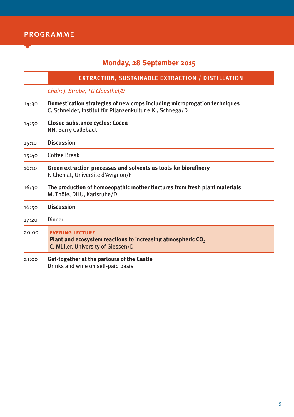# **Monday, 28 September 2015**

|       | <b>EXTRACTION, SUSTAINABLE EXTRACTION / DISTILLATION</b>                                                                                |  |  |
|-------|-----------------------------------------------------------------------------------------------------------------------------------------|--|--|
|       | Chair: J. Strube, TU Clausthal/D                                                                                                        |  |  |
| 14:30 | Domestication strategies of new crops including microprogation techniques<br>C. Schneider, Institut für Pflanzenkultur e.K., Schnega/D  |  |  |
| 14:50 | <b>Closed substance cycles: Cocoa</b><br>NN, Barry Callebaut                                                                            |  |  |
| 15:10 | <b>Discussion</b>                                                                                                                       |  |  |
| 15:40 | Coffee Break                                                                                                                            |  |  |
| 16:10 | Green extraction processes and solvents as tools for biorefinery<br>F. Chemat, Université d'Avignon/F                                   |  |  |
| 16:30 | The production of homoeopathic mother tinctures from fresh plant materials<br>M. Thöle, DHU, Karlsruhe/D                                |  |  |
| 16:50 | <b>Discussion</b>                                                                                                                       |  |  |
| 17:20 | Dinner                                                                                                                                  |  |  |
| 20:00 | <b>EVENING LECTURE</b><br>Plant and ecosystem reactions to increasing atmospheric CO <sub>2</sub><br>C. Müller, University of Giessen/D |  |  |
| 21:00 | Get-together at the parlours of the Castle                                                                                              |  |  |

Drinks and wine on self-paid basis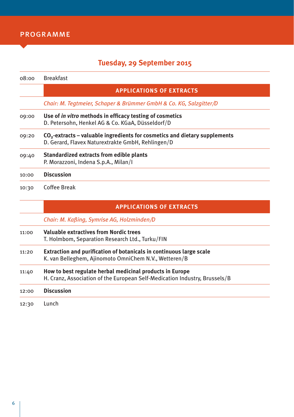## **Tuesday, 29 September 2015**

| 08:00 | <b>Breakfast</b>                                                                                                                  |  |  |
|-------|-----------------------------------------------------------------------------------------------------------------------------------|--|--|
|       | <b>APPLICATIONS OF EXTRACTS</b>                                                                                                   |  |  |
|       | Chair: M. Tegtmeier, Schaper & Brümmer GmbH & Co. KG, Salzgitter/D                                                                |  |  |
| 09:00 | Use of <i>in vitro</i> methods in efficacy testing of cosmetics<br>D. Petersohn, Henkel AG & Co. KGaA, Düsseldorf/D               |  |  |
| 09:20 | $CO2$ -extracts – valuable ingredients for cosmetics and dietary supplements<br>D. Gerard, Flavex Naturextrakte GmbH, Rehlingen/D |  |  |
| 09:40 | Standardized extracts from edible plants<br>P. Morazzoni, Indena S.p.A., Milan/I                                                  |  |  |
| 10:00 | <b>Discussion</b>                                                                                                                 |  |  |
| 10:30 | Coffee Break                                                                                                                      |  |  |
|       | <b>APPLICATIONS OF EXTRACTS</b>                                                                                                   |  |  |
|       | Chair: M. Kaßing, Symrise AG, Holzminden/D                                                                                        |  |  |
| 11:00 | <b>Valuable extractives from Nordic trees</b>                                                                                     |  |  |

- T. Holmbom, Separation Research Ltd., Turku/FIN
- 11:20 **Extraction and purification of botanicals in continuous large scale** K. van Belleghem, Ajinomoto OmniChem N.V., Wetteren/B
- 11:40 **How to best regulate herbal medicinal products in Europe** H. Cranz, Association of the European Self-Medication Industry, Brussels/B

| 12:00 Discussion |
|------------------|
| 12:30 Lunch      |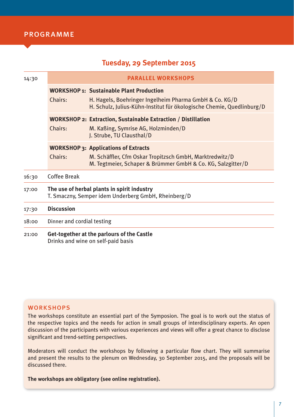## **Tuesday, 29 September 2015**

| 14:30 | <b>PARALLEL WORKSHOPS</b>                                                                          |                                                                                                                                                                                    |  |
|-------|----------------------------------------------------------------------------------------------------|------------------------------------------------------------------------------------------------------------------------------------------------------------------------------------|--|
|       | Chairs:                                                                                            | <b>WORKSHOP 1: Sustainable Plant Production</b><br>H. Hagels, Boehringer Ingelheim Pharma GmbH & Co. KG/D<br>H. Schulz, Julius-Kühn-Institut für ökologische Chemie, Quedlinburg/D |  |
|       | Chairs:                                                                                            | <b>WORKSHOP 2: Extraction, Sustainable Extraction / Distillation</b><br>M. Kaßing, Symrise AG, Holzminden/D<br>J. Strube, TU Clausthal/D                                           |  |
|       | Chairs:                                                                                            | <b>WORKSHOP 3: Applications of Extracts</b><br>M. Schäffler, Cfm Oskar Tropitzsch GmbH, Marktredwitz/D<br>M. Tegtmeier, Schaper & Brümmer GmbH & Co. KG, Salzgitter/D              |  |
| 16:30 | Coffee Break                                                                                       |                                                                                                                                                                                    |  |
| 17:00 | The use of herbal plants in spirit industry<br>T. Smaczny, Semper idem Underberg GmbH, Rheinberg/D |                                                                                                                                                                                    |  |
| 17:30 | <b>Discussion</b>                                                                                  |                                                                                                                                                                                    |  |
| 18:00 | Dinner and cordial testing                                                                         |                                                                                                                                                                                    |  |
| 21:00 | Get-together at the parlours of the Castle<br>Drinks and wine on self-paid basis                   |                                                                                                                                                                                    |  |

## **WORKSHOPS**

The workshops constitute an essential part of the Symposion. The goal is to work out the status of the respective topics and the needs for action in small groups of interdisciplinary experts. An open discussion of the participants with various experiences and views will offer a great chance to disclose significant and trend-setting perspectives.

Moderators will conduct the workshops by following a particular flow chart. They will summarise and present the results to the plenum on Wednesday, 30 September 2015, and the proposals will be discussed there.

**The workshops are obligatory (see online registration).**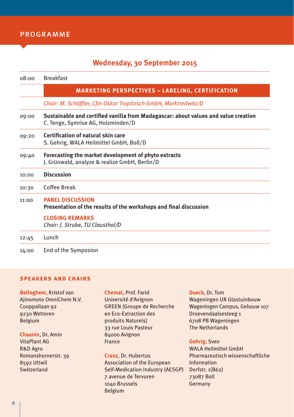## **Wednesday, 30 September 2015**

| 08:00 | <b>Breakfast</b>                                                                                                         |  |  |
|-------|--------------------------------------------------------------------------------------------------------------------------|--|--|
|       | <b>MARKETING PERSPECTIVES - LABELING, CERTIFICATION</b>                                                                  |  |  |
|       | Chair: M. Schäffler, Cfm Oskar Tropitzsch GmbH, Marktredwitz/D                                                           |  |  |
| 09:00 | Sustainable and certified vanilla from Madagascar: about values and value creation<br>C. Tenge, Symrise AG, Holzminden/D |  |  |
| 09:20 | Certification of natural skin care<br>S. Gehrig, WALA Heilmittel GmbH, Boll/D                                            |  |  |
| 09:40 | Forecasting the market development of phyto extracts<br>J. Grünwald, analyze & realize GmbH, Berlin/D                    |  |  |
| 10:00 | <b>Discussion</b>                                                                                                        |  |  |
| 10:30 | Coffee Break                                                                                                             |  |  |
| 11:00 | <b>PANEL DISCUSSION</b><br>Presentation of the results of the workshops and final discussion                             |  |  |
|       | <b>CLOSING REMARKS</b><br>Chair: J. Strube, TU Clausthal/D                                                               |  |  |
| 12:45 | Lunch                                                                                                                    |  |  |
| 14:00 | End of the Symposion                                                                                                     |  |  |

#### **speakers and chairs**

**Belleghem,** Kristof van Ajinomoto OmniChem N.V. Cooppallaan 92 9230 Wetteren Belgium

**Chaanin,** Dr. Amin VitaPlant AG R&D Agro Romanshornerstr. 39 8592 Uttwil Switzerland

**Chemat,** Prof. Farid Université d'Avignon GREEN (Groupe de Recherche en Eco-Extraction des produits Naturels) 33 rue Louis Pasteur 84000 Avignon France

**Cranz,** Dr. Hubertus Association of the European Self-Medication Industry (AESGP) 7 avenue de Tervuren 1040 Brussels Belgium

**Dueck,** Dr. Tom Wageningen UR Glastuinbouw Wageningen Campus, Gebouw 107 Droevendaalsesteeg 1 6708 PB Wageningen The Netherlands

**Gehrig,** Sven

WALA Heilmittel GmbH Pharmazeutisch wissenschaftliche Information Dorfstr. 1(B62) 73087 Boll Germany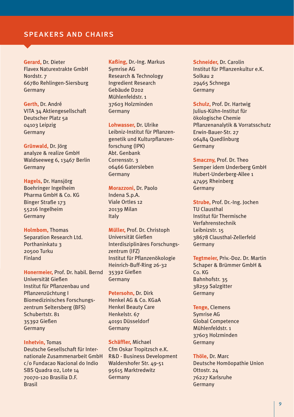## speakers and chairs

**Gerard,** Dr. Dieter Flavex Naturextrakte GmbH Nordstr. 7 66780 Rehlingen-Siersburg Germany

**Gerth,** Dr. André VITA 34 Aktiengesellschaft Deutscher Platz 5a 04103 Leipzig Germany

**Grünwald,** Dr. Jörg analyze & realize GmbH Waldseeweg 6, 13467 Berlin Germany

**Hagels,** Dr. Hansjörg Boehringer Ingelheim Pharma GmbH & Co. KG Binger Straße 173 55216 Ingelheim Germany

**Holmbom,** Thomas Separation Research Ltd. Porthaninkatu 3 20500 Turku Finland

**Honermeier,** Prof. Dr. habil. Bernd Universität Gießen Institut für Pflanzenbau und Pflanzenzüchtung I Biomedizinisches Forschungszentrum Seltersberg (BFS) Schubertstr. 81 35392 Gießen Germany

**Inhetvin,** Tomas Deutsche Gesellschaft für Internationale Zusammenarbeit GmbH c/o Fundacao Nacional do Indio SBS Quadra 02, Lote 14 70070-120 Brasilia D.F. Brasil

**Kaßing,** Dr.-Ing. Markus Symrise AG Research & Technology Ingredient Research Gebäude D202 Mühlenfeldstr 1 37603 Holzminden Germany

**Lohwasser,** Dr. Ulrike Leibniz-Institut für Pflanzengenetik und Kulturpflanzenforschung (IPK) Abt. Genbank Corrensstr. 3 06466 Gatersleben Germany

**Morazzoni,** Dr. Paolo Indena S.p.A. Viale Ortles 12 20139 Milan Italy

**Müller,** Prof. Dr. Christoph Universität Gießen Interdisziplinäres Forschungszentrum (IFZ) Institut für Pflanzenökologie Heinrich-Buff-Ring 26-32 35392 Gießen Germany

**Petersohn,** Dr. Dirk Henkel AG & Co. KGaA Henkel Beauty Care Henkelstr. 67 40191 Düsseldorf Germany

**Schäffler,** Michael Cfm Oskar Tropitzsch e.K. R&D - Business Development Waldershofer Str. 49-51 95615 Marktredwitz Germany

**Schneider,** Dr. Carolin Institut für Pflanzenkultur e.K. Solkau 2 29465 Schnega Germany

**Schulz,** Prof. Dr. Hartwig Julius-Kühn-Institut für ökologische Chemie Pflanzenanalytik & Vorratsschutz Erwin-Bauer-Str. 27 06484 Quedlinburg Germany

**Smaczny,** Prof. Dr. Theo Semper idem Underberg GmbH Hubert-Underberg-Allee 1 47495 Rheinberg Germany

**Strube,** Prof. Dr.-Ing. Jochen TU Clausthal Institut für Thermische Verfahrenstechnik Leibnizstr. 15 38678 Clausthal-Zellerfeld Germany

**Tegtmeier,** Priv.-Doz. Dr. Martin Schaper & Brümmer GmbH & Co. KG Bahnhofstr. 35 38259 Salzgitter Germany

**Tenge,** Clemens Symrise AG Global Competence Mühlenfeldstr. 1 37603 Holzminden Germany

**Thöle,** Dr. Marc Deutsche Homöopathie Union Ottostr. 24 76227 Karlsruhe Germany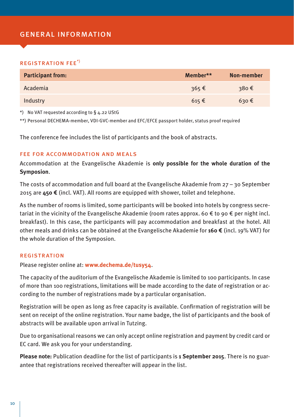## general information

#### registration fee\*)

| <b>Participant from:</b> | Member**           | Non-member     |
|--------------------------|--------------------|----------------|
| Academia                 | 365€               | 380€           |
| Industry                 | $615 \text{ } \in$ | $630 \epsilon$ |

\*) No VAT requested according to § 4.22 UStG

\*\*) Personal DECHEMA-member, VDI·GVC-member and EFC/EFCE passport holder, status proof required

The conference fee includes the list of participants and the book of abstracts.

#### fee for accommodation and meals

Accommodation at the Evangelische Akademie is **only possible for the whole duration of the Symposion**.

The costs of accommodation and full board at the Evangelische Akademie from 27 – 30 September 2015 are **450 €** (incl. VAT). All rooms are equipped with shower, toilet and telephone.

As the number of rooms is limited, some participants will be booked into hotels by congress secretariat in the vicinity of the Evangelische Akademie (room rates approx. 60  $\epsilon$  to 90  $\epsilon$  per night incl. breakfast). In this case, the participants will pay accommodation and breakfast at the hotel. All other meals and drinks can be obtained at the Evangelische Akademie for **160 €** (incl. 19% VAT) for the whole duration of the Symposion.

#### **REGISTRATION**

Please register online at: **www.dechema.de/tusy54**.

The capacity of the auditorium of the Evangelische Akademie is limited to 100 participants. In case of more than 100 registrations, limitations will be made according to the date of registration or according to the number of registrations made by a particular organisation.

Registration will be open as long as free capacity is available. Confirmation of registration will be sent on receipt of the online registration. Your name badge, the list of participants and the book of abstracts will be available upon arrival in Tutzing.

Due to organisational reasons we can only accept online registration and payment by credit card or EC card. We ask you for your understanding.

**Please note:** Publication deadline for the list of participants is **1 September 2015**. There is no guarantee that registrations received thereafter will appear in the list.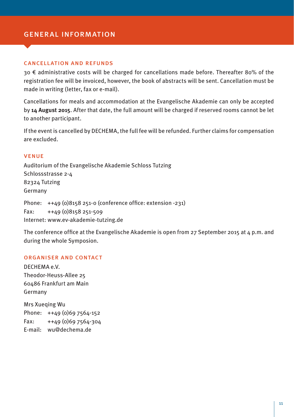## general information

#### cancellation and refunds

30 € administrative costs will be charged for cancellations made before. Thereafter 80% of the registration fee will be invoiced, however, the book of abstracts will be sent. Cancellation must be made in writing (letter, fax or e-mail).

Cancellations for meals and accommodation at the Evangelische Akademie can only be accepted by **14 August 2015**. After that date, the full amount will be charged if reserved rooms cannot be let to another participant.

If the event is cancelled by DECHEMA, the full fee will be refunded. Further claims for compensation are excluded.

#### venue

Auditorium of the Evangelische Akademie Schloss Tutzing Schlossstrasse 2-4 82324 Tutzing Germany

Phone: ++49 (0)8158 251-0 (conference office: extension -231) Fax: ++49 (0)8158 251-509 Internet: www.ev-akademie-tutzing.de

The conference office at the Evangelische Akademie is open from 27 September 2015 at 4 p.m. and during the whole Symposion.

### organiser and contact

DECHEMA e.V. Theodor-Heuss-Allee 25 60486 Frankfurt am Main Germany

Mrs Xueqing Wu Phone: ++49 (0)69 7564-152 Fax: ++49 (0)69 7564-304 E-mail: wu@dechema.de